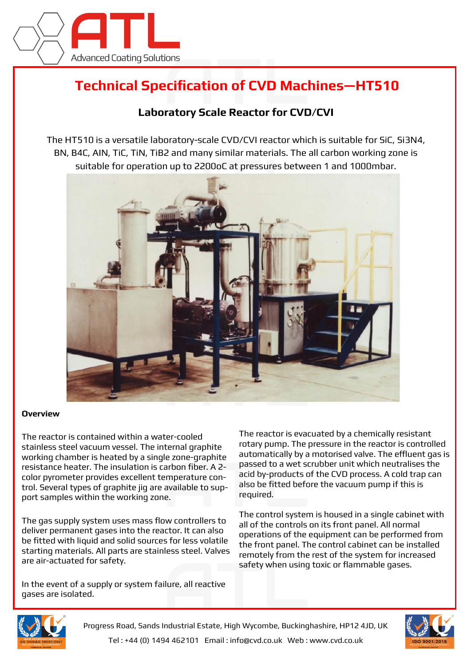

## **Technical Specification of CVD Machines—HT510**

## **Laboratory Scale Reactor for CVD/CVI**

The HT510 is a versatile laboratory-scale CVD/CVI reactor which is suitable for SiC, Si3N4, BN, B4C, AIN, TiC, TiN, TiB2 and many similar materials. The all carbon working zone is suitable for operation up to 2200oC at pressures between 1 and 1000mbar.



## **Overview**

The reactor is contained within a water-cooled stainless steel vacuum vessel. The internal graphite working chamber is heated by a single zone-graphite resistance heater. The insulation is carbon fiber. A 2 color pyrometer provides excellent temperature control. Several types of graphite jig are available to support samples within the working zone.

The gas supply system uses mass flow controllers to deliver permanent gases into the reactor. It can also be fitted with liquid and solid sources for less volatile starting materials. All parts are stainless steel. Valves are air-actuated for safety.

The reactor is evacuated by a chemically resistant rotary pump. The pressure in the reactor is controlled automatically by a motorised valve. The effluent gas is passed to a wet scrubber unit which neutralises the acid by-products of the CVD process. A cold trap can also be fitted before the vacuum pump if this is required.

The control system is housed in a single cabinet with all of the controls on its front panel. All normal operations of the equipment can be performed from the front panel. The control cabinet can be installed remotely from the rest of the system for increased safety when using toxic or flammable gases.

In the event of a supply or system failure, all reactive gases are isolated.





Progress Road, Sands Industrial Estate, High Wycombe, Buckinghashire, HP12 4JD, UK Tel : +44 (0) 1494 462101 Email : info@cvd.co.uk Web : www.cvd.co.uk